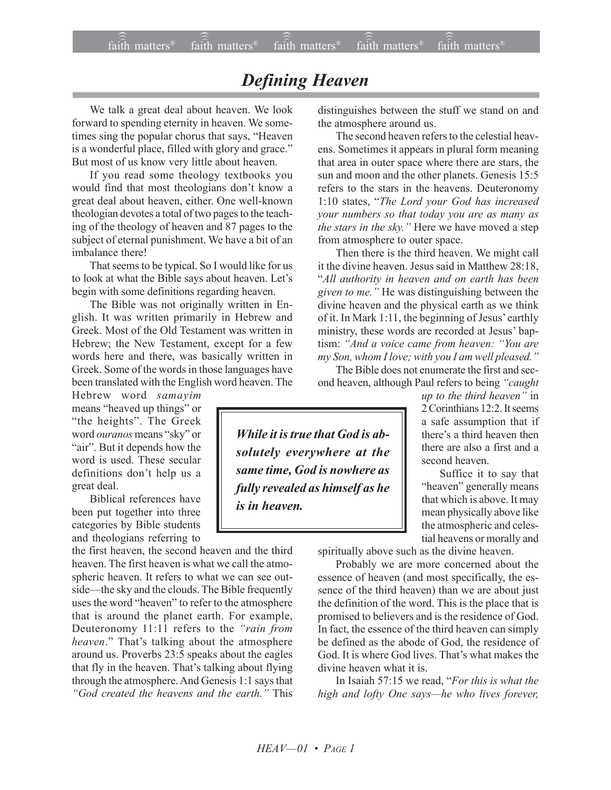## *Defining Heaven*

We talk a great deal about heaven. We look forward to spending eternity in heaven. We sometimes sing the popular chorus that says, "Heaven is a wonderful place, filled with glory and grace." But most of us know very little about heaven.

If you read some theology textbooks you would find that most theologians don't know a great deal about heaven, either. One well-known theologian devotes a total of two pages to the teaching of the theology of heaven and 87 pages to the subject of eternal punishment. We have a bit of an imbalance there!

That seems to be typical. So I would like for us to look at what the Bible says about heaven. Let's begin with some definitions regarding heaven.

The Bible was not originally written in English. It was written primarily in Hebrew and Greek. Most of the Old Testament was written in Hebrew; the New Testament, except for a few words here and there, was basically written in Greek. Some of the words in those languages have been translated with the English word heaven. The

Hebrew word *samayim* means "heaved up things" or "the heights". The Greek word *ouranos* means "sky" or "air". But it depends how the word is used. These secular definitions don't help us a great deal.

Biblical references have been put together into three categories by Bible students and theologians referring to

the first heaven, the second heaven and the third heaven. The first heaven is what we call the atmospheric heaven. It refers to what we can see outside—the sky and the clouds. The Bible frequently uses the word "heaven" to refer to the atmosphere that is around the planet earth. For example, Deuteronomy 11:11 refers to the *"rain from heaven.*" That's talking about the atmosphere around us. Proverbs 23:5 speaks about the eagles that fly in the heaven. That's talking about flying through the atmosphere. And Genesis 1:1 says that *ìGod created the heavens and the earth.î* This

distinguishes between the stuff we stand on and the atmosphere around us.

The second heaven refers to the celestial heavens. Sometimes it appears in plural form meaning that area in outer space where there are stars, the sun and moon and the other planets. Genesis 15:5 refers to the stars in the heavens. Deuteronomy 1:10 states, "The Lord your God has increased *your numbers so that today you are as many as the stars in the sky.*" Here we have moved a step from atmosphere to outer space.

Then there is the third heaven. We might call it the divine heaven. Jesus said in Matthew 28:18, ì*All authority in heaven and on earth has been given to me.*" He was distinguishing between the divine heaven and the physical earth as we think of it. In Mark  $1:11$ , the beginning of Jesus' earthly ministry, these words are recorded at Jesus' baptism: "And a voice came from heaven: "You are *my Son, whom I love; with you I am well pleased.*"

The Bible does not enumerate the first and second heaven, although Paul refers to being "caught

*While it is true that God is absolutely everywhere at the same time, God is nowhere as fully revealed as himself as he is in heaven.*

*up to the third heaven*" in 2 Corinthians 12:2. It seems a safe assumption that if there's a third heaven then there are also a first and a second heaven.

Suffice it to say that "heaven" generally means that which is above. It may mean physically above like the atmospheric and celestial heavens or morally and

spiritually above such as the divine heaven.

Probably we are more concerned about the essence of heaven (and most specifically, the essence of the third heaven) than we are about just the definition of the word. This is the place that is promised to believers and is the residence of God. In fact, the essence of the third heaven can simply be defined as the abode of God, the residence of God. It is where God lives. That's what makes the divine heaven what it is.

In Isaiah 57:15 we read, "For this is what the *high and lofty One says—he who lives forever,*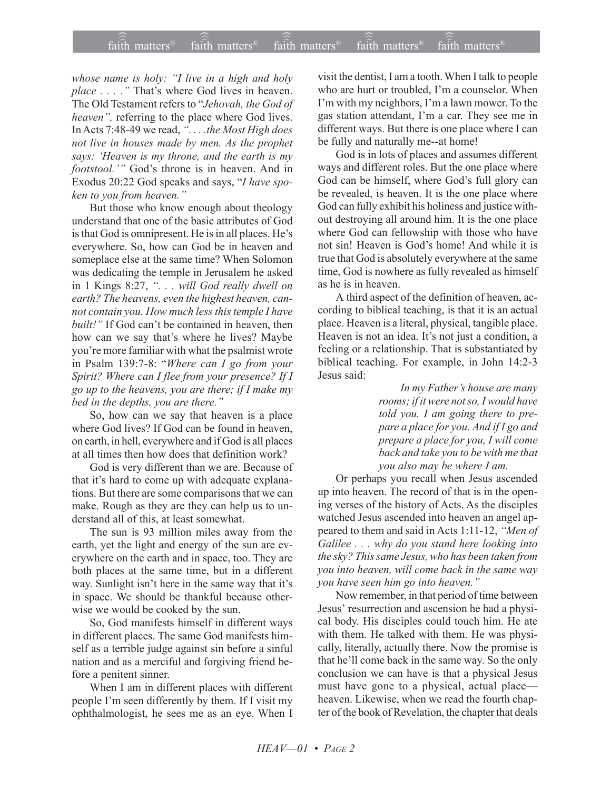*whose name is holy: "I live in a high and holy place ....*" That's where God lives in heaven. The Old Testament refers to "Jehovah, the God of *heaven*", referring to the place where God lives. In Acts 7:48-49 we read, ". . . .the Most High does *not live in houses made by men. As the prophet says: ëHeaven is my throne, and the earth is my footstool.*<sup>*n*</sup> God's throne is in heaven. And in Exodus 20:22 God speaks and says, "*I have spoken to you from heaven.*"

But those who know enough about theology understand that one of the basic attributes of God is that God is omnipresent. He is in all places. He's everywhere. So, how can God be in heaven and someplace else at the same time? When Solomon was dedicating the temple in Jerusalem he asked in 1 Kings 8:27, *ì. . . will God really dwell on earth? The heavens, even the highest heaven, cannot contain you. How much less this temple I have built!*" If God can't be contained in heaven, then how can we say that's where he lives? Maybe you're more familiar with what the psalmist wrote in Psalm 139:7-8: "*Where can I go from your Spirit? Where can I flee from your presence? If I go up to the heavens, you are there; if I make my bed in the depths, you are there.*"

So, how can we say that heaven is a place where God lives? If God can be found in heaven, on earth, in hell, everywhere and if God is all places at all times then how does that definition work?

God is very different than we are. Because of that it's hard to come up with adequate explanations. But there are some comparisons that we can make. Rough as they are they can help us to understand all of this, at least somewhat.

The sun is 93 million miles away from the earth, yet the light and energy of the sun are everywhere on the earth and in space, too. They are both places at the same time, but in a different way. Sunlight isn't here in the same way that it's in space. We should be thankful because otherwise we would be cooked by the sun.

So, God manifests himself in different ways in different places. The same God manifests himself as a terrible judge against sin before a sinful nation and as a merciful and forgiving friend before a penitent sinner.

When I am in different places with different people I'm seen differently by them. If I visit my ophthalmologist, he sees me as an eye. When I visit the dentist, I am a tooth. When I talk to people who are hurt or troubled, I'm a counselor. When I'm with my neighbors, I'm a lawn mower. To the gas station attendant, I'm a car. They see me in different ways. But there is one place where I can be fully and naturally me--at home!

God is in lots of places and assumes different ways and different roles. But the one place where God can be himself, where God's full glory can be revealed, is heaven. It is the one place where God can fully exhibit his holiness and justice without destroying all around him. It is the one place where God can fellowship with those who have not sin! Heaven is God's home! And while it is true that God is absolutely everywhere at the same time, God is nowhere as fully revealed as himself as he is in heaven.

A third aspect of the definition of heaven, according to biblical teaching, is that it is an actual place. Heaven is a literal, physical, tangible place. Heaven is not an idea. It's not just a condition, a feeling or a relationship. That is substantiated by biblical teaching. For example, in John 14:2-3 Jesus said:

> *In my Father's house are many rooms; if it were not so, I would have told you. I am going there to prepare a place for you. And if I go and prepare a place for you, I will come back and take you to be with me that you also may be where I am.*

Or perhaps you recall when Jesus ascended up into heaven. The record of that is in the opening verses of the history of Acts. As the disciples watched Jesus ascended into heaven an angel appeared to them and said in Acts 1:11-12, "Men of *Galilee . . . why do you stand here looking into the sky? This same Jesus, who has been taken from you into heaven, will come back in the same way you have seen him go into heaven.î*

Now remember, in that period of time between Jesus' resurrection and ascension he had a physical body. His disciples could touch him. He ate with them. He talked with them. He was physically, literally, actually there. Now the promise is that he'll come back in the same way. So the only conclusion we can have is that a physical Jesus must have gone to a physical, actual place heaven. Likewise, when we read the fourth chapter of the book of Revelation, the chapter that deals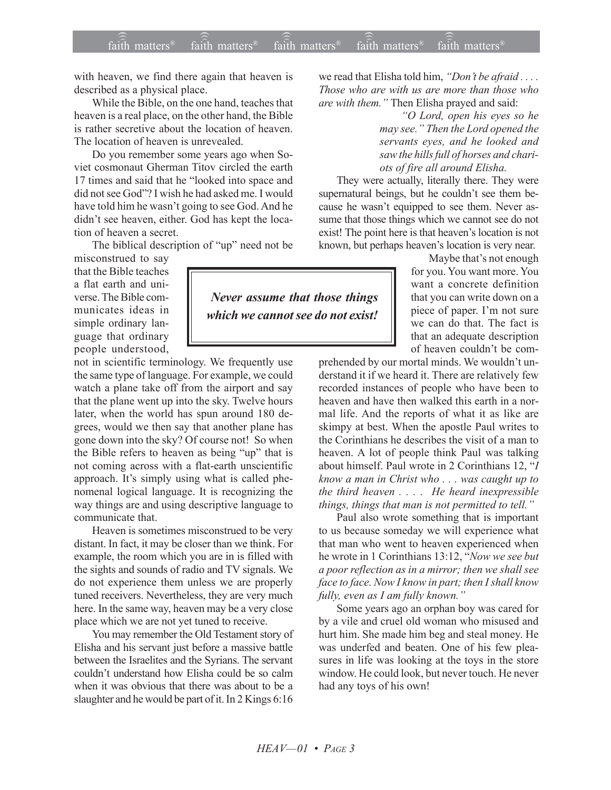with heaven, we find there again that heaven is described as a physical place.

While the Bible, on the one hand, teaches that heaven is a real place, on the other hand, the Bible is rather secretive about the location of heaven. The location of heaven is unrevealed.

Do you remember some years ago when Soviet cosmonaut Gherman Titov circled the earth 17 times and said that he "looked into space and did not see God"? I wish he had asked me. I would have told him he wasn't going to see God. And he didn't see heaven, either. God has kept the location of heaven a secret.

The biblical description of "up" need not be

misconstrued to say that the Bible teaches a flat earth and universe. The Bible communicates ideas in simple ordinary language that ordinary people understood,

not in scientific terminology. We frequently use the same type of language. For example, we could watch a plane take off from the airport and say that the plane went up into the sky. Twelve hours later, when the world has spun around 180 degrees, would we then say that another plane has gone down into the sky? Of course not! So when the Bible refers to heaven as being "up" that is not coming across with a flat-earth unscientific approach. It's simply using what is called phenomenal logical language. It is recognizing the way things are and using descriptive language to communicate that.

Heaven is sometimes misconstrued to be very distant. In fact, it may be closer than we think. For example, the room which you are in is filled with the sights and sounds of radio and TV signals. We do not experience them unless we are properly tuned receivers. Nevertheless, they are very much here. In the same way, heaven may be a very close place which we are not yet tuned to receive.

You may remember the Old Testament story of Elisha and his servant just before a massive battle between the Israelites and the Syrians. The servant couldn't understand how Elisha could be so calm when it was obvious that there was about to be a slaughter and he would be part of it. In 2 Kings 6:16

we read that Elisha told him, *"Don't be afraid ...*. *Those who are with us are more than those who are with them.* " Then Elisha prayed and said:

> *ìO Lord, open his eyes so he may see.î Then the Lord opened the servants eyes, and he looked and saw the hills full of horses and chariots of fire all around Elisha.*

They were actually, literally there. They were supernatural beings, but he couldn't see them because he wasn't equipped to see them. Never assume that those things which we cannot see do not exist! The point here is that heaven's location is not known, but perhaps heaven's location is very near.

> Maybe that's not enough for you. You want more. You want a concrete definition that you can write down on a piece of paper. I'm not sure we can do that. The fact is that an adequate description of heaven couldn't be com-

prehended by our mortal minds. We wouldn't understand it if we heard it. There are relatively few recorded instances of people who have been to heaven and have then walked this earth in a normal life. And the reports of what it as like are skimpy at best. When the apostle Paul writes to the Corinthians he describes the visit of a man to heaven. A lot of people think Paul was talking about himself. Paul wrote in 2 Corinthians 12, *<sup>'</sup>I*</sup> *know a man in Christ who . . . was caught up to the third heaven . . . . He heard inexpressible* things, things that man is not permitted to tell.<sup>"</sup>

Paul also wrote something that is important to us because someday we will experience what that man who went to heaven experienced when he wrote in 1 Corinthians 13:12, "*Now we see but a poor reflection as in a mirror; then we shall see face to face. Now I know in part; then I shall know fully, even as I am fully known.*"

Some years ago an orphan boy was cared for by a vile and cruel old woman who misused and hurt him. She made him beg and steal money. He was underfed and beaten. One of his few pleasures in life was looking at the toys in the store window. He could look, but never touch. He never had any toys of his own!

## *Never assume that those things which we cannot see do not exist!*